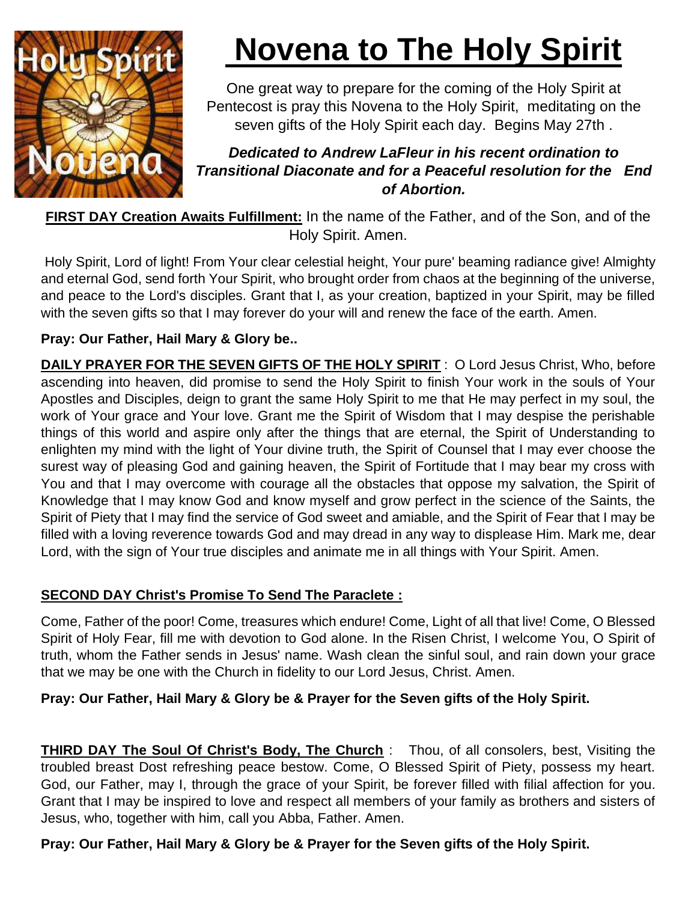

# **Novena to The Holy Spirit**

One great way to prepare for the coming of the Holy Spirit at Pentecost is pray this Novena to the Holy Spirit, meditating on the seven gifts of the Holy Spirit each day. Begins May 27th .

## *Dedicated to Andrew LaFleur in his recent ordination to Transitional Diaconate and for a Peaceful resolution for the End of Abortion.*

**FIRST DAY Creation Awaits Fulfillment:** In the name of the Father, and of the Son, and of the Holy Spirit. Amen.

Holy Spirit, Lord of light! From Your clear celestial height, Your pure' beaming radiance give! Almighty and eternal God, send forth Your Spirit, who brought order from chaos at the beginning of the universe, and peace to the Lord's disciples. Grant that I, as your creation, baptized in your Spirit, may be filled with the seven gifts so that I may forever do your will and renew the face of the earth. Amen.

#### **Pray: Our Father, Hail Mary & Glory be..**

**DAILY PRAYER FOR THE SEVEN GIFTS OF THE HOLY SPIRIT** : O Lord Jesus Christ, Who, before ascending into heaven, did promise to send the Holy Spirit to finish Your work in the souls of Your Apostles and Disciples, deign to grant the same Holy Spirit to me that He may perfect in my soul, the work of Your grace and Your love. Grant me the Spirit of Wisdom that I may despise the perishable things of this world and aspire only after the things that are eternal, the Spirit of Understanding to enlighten my mind with the light of Your divine truth, the Spirit of Counsel that I may ever choose the surest way of pleasing God and gaining heaven, the Spirit of Fortitude that I may bear my cross with You and that I may overcome with courage all the obstacles that oppose my salvation, the Spirit of Knowledge that I may know God and know myself and grow perfect in the science of the Saints, the Spirit of Piety that I may find the service of God sweet and amiable, and the Spirit of Fear that I may be filled with a loving reverence towards God and may dread in any way to displease Him. Mark me, dear Lord, with the sign of Your true disciples and animate me in all things with Your Spirit. Amen.

### **SECOND DAY Christ's Promise To Send The Paraclete :**

Come, Father of the poor! Come, treasures which endure! Come, Light of all that live! Come, O Blessed Spirit of Holy Fear, fill me with devotion to God alone. In the Risen Christ, I welcome You, O Spirit of truth, whom the Father sends in Jesus' name. Wash clean the sinful soul, and rain down your grace that we may be one with the Church in fidelity to our Lord Jesus, Christ. Amen.

#### **Pray: Our Father, Hail Mary & Glory be & Prayer for the Seven gifts of the Holy Spirit.**

**THIRD DAY The Soul Of Christ's Body, The Church** : Thou, of all consolers, best, Visiting the troubled breast Dost refreshing peace bestow. Come, O Blessed Spirit of Piety, possess my heart. God, our Father, may I, through the grace of your Spirit, be forever filled with filial affection for you. Grant that I may be inspired to love and respect all members of your family as brothers and sisters of Jesus, who, together with him, call you Abba, Father. Amen.

#### **Pray: Our Father, Hail Mary & Glory be & Prayer for the Seven gifts of the Holy Spirit.**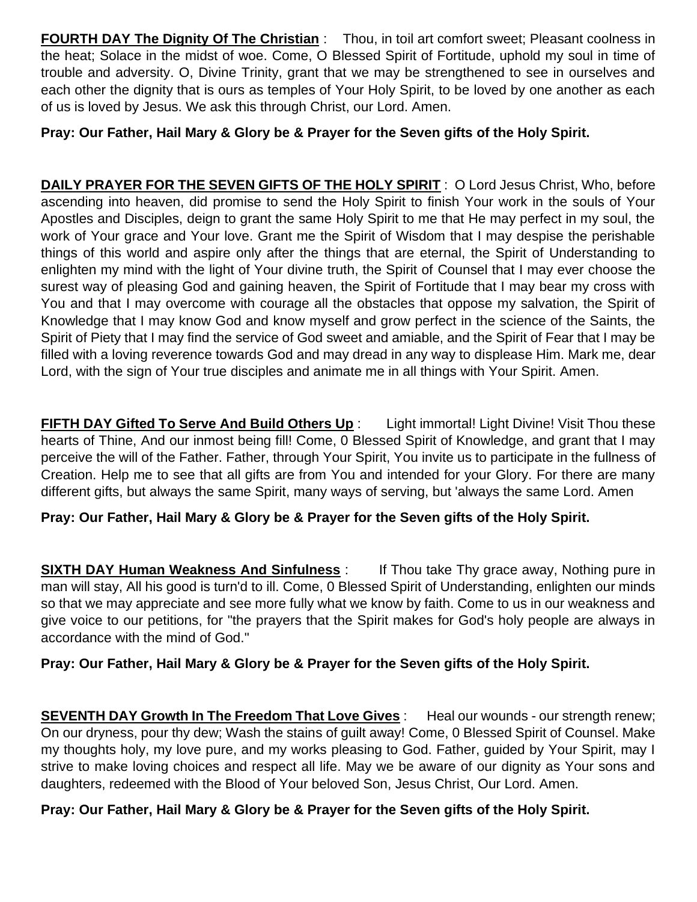**FOURTH DAY The Dignity Of The Christian** : Thou, in toil art comfort sweet; Pleasant coolness in the heat; Solace in the midst of woe. Come, O Blessed Spirit of Fortitude, uphold my soul in time of trouble and adversity. O, Divine Trinity, grant that we may be strengthened to see in ourselves and each other the dignity that is ours as temples of Your Holy Spirit, to be loved by one another as each of us is loved by Jesus. We ask this through Christ, our Lord. Amen.

**Pray: Our Father, Hail Mary & Glory be & Prayer for the Seven gifts of the Holy Spirit.**

**DAILY PRAYER FOR THE SEVEN GIFTS OF THE HOLY SPIRIT** : O Lord Jesus Christ, Who, before ascending into heaven, did promise to send the Holy Spirit to finish Your work in the souls of Your Apostles and Disciples, deign to grant the same Holy Spirit to me that He may perfect in my soul, the work of Your grace and Your love. Grant me the Spirit of Wisdom that I may despise the perishable things of this world and aspire only after the things that are eternal, the Spirit of Understanding to enlighten my mind with the light of Your divine truth, the Spirit of Counsel that I may ever choose the surest way of pleasing God and gaining heaven, the Spirit of Fortitude that I may bear my cross with You and that I may overcome with courage all the obstacles that oppose my salvation, the Spirit of Knowledge that I may know God and know myself and grow perfect in the science of the Saints, the Spirit of Piety that I may find the service of God sweet and amiable, and the Spirit of Fear that I may be filled with a loving reverence towards God and may dread in any way to displease Him. Mark me, dear Lord, with the sign of Your true disciples and animate me in all things with Your Spirit. Amen.

**FIFTH DAY Gifted To Serve And Build Others Up** : Light immortal! Light Divine! Visit Thou these hearts of Thine, And our inmost being fill! Come, 0 Blessed Spirit of Knowledge, and grant that I may perceive the will of the Father. Father, through Your Spirit, You invite us to participate in the fullness of Creation. Help me to see that all gifts are from You and intended for your Glory. For there are many different gifts, but always the same Spirit, many ways of serving, but 'always the same Lord. Amen

**Pray: Our Father, Hail Mary & Glory be & Prayer for the Seven gifts of the Holy Spirit.**

**SIXTH DAY Human Weakness And Sinfulness** : If Thou take Thy grace away, Nothing pure in man will stay, All his good is turn'd to ill. Come, 0 Blessed Spirit of Understanding, enlighten our minds so that we may appreciate and see more fully what we know by faith. Come to us in our weakness and give voice to our petitions, for "the prayers that the Spirit makes for God's holy people are always in accordance with the mind of God."

#### **Pray: Our Father, Hail Mary & Glory be & Prayer for the Seven gifts of the Holy Spirit.**

**SEVENTH DAY Growth In The Freedom That Love Gives** : Heal our wounds - our strength renew; On our dryness, pour thy dew; Wash the stains of guilt away! Come, 0 Blessed Spirit of Counsel. Make my thoughts holy, my love pure, and my works pleasing to God. Father, guided by Your Spirit, may I strive to make loving choices and respect all life. May we be aware of our dignity as Your sons and daughters, redeemed with the Blood of Your beloved Son, Jesus Christ, Our Lord. Amen.

**Pray: Our Father, Hail Mary & Glory be & Prayer for the Seven gifts of the Holy Spirit.**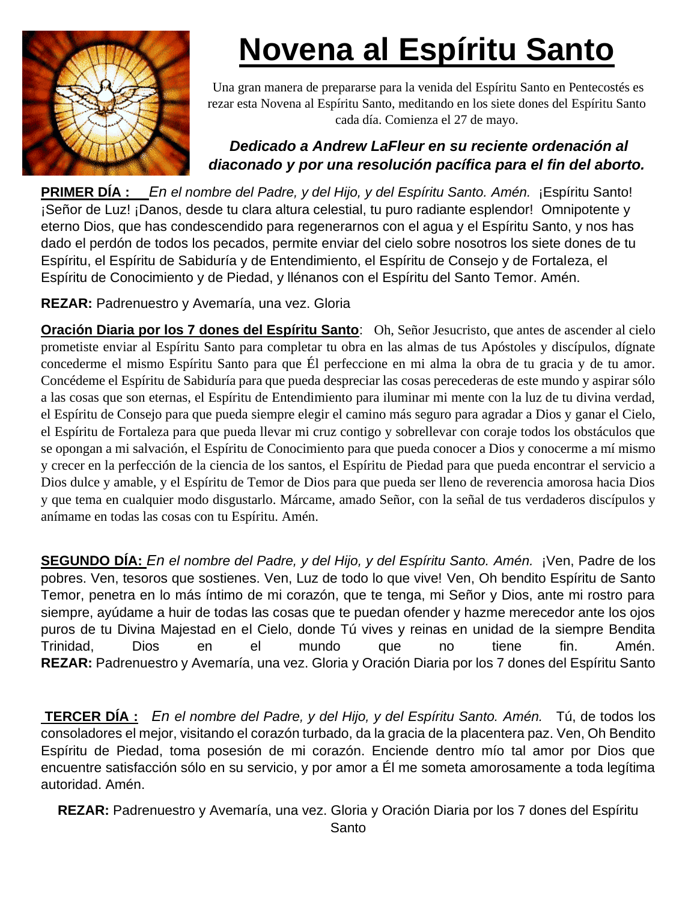

## **Novena al Espíritu Santo**

Una gran manera de prepararse para la venida del Espíritu Santo en Pentecostés es rezar esta Novena al Espíritu Santo, meditando en los siete dones del Espíritu Santo cada día. Comienza el 27 de mayo.

## *Dedicado a Andrew LaFleur en su reciente ordenación al diaconado y por una resolución pacífica para el fin del aborto.*

**PRIMER DÍA :** *En el nombre del Padre, y del Hijo, y del Espíritu Santo. Amén.* ¡Espíritu Santo! ¡Señor de Luz! ¡Danos, desde tu clara altura celestial, tu puro radiante esplendor! Omnipotente y eterno Dios, que has condescendido para regenerarnos con el agua y el Espíritu Santo, y nos has dado el perdón de todos los pecados, permite enviar del cielo sobre nosotros los siete dones de tu Espíritu, el Espíritu de Sabiduría y de Entendimiento, el Espíritu de Consejo y de Fortaleza, el Espíritu de Conocimiento y de Piedad, y llénanos con el Espíritu del Santo Temor. Amén.

**REZAR:** Padrenuestro y Avemaría, una vez. Gloria

**Oración Diaria por los 7 dones del Espíritu Santo**: Oh, Señor Jesucristo, que antes de ascender al cielo prometiste enviar al Espíritu Santo para completar tu obra en las almas de tus Apóstoles y discípulos, dígnate concederme el mismo Espíritu Santo para que Él perfeccione en mi alma la obra de tu gracia y de tu amor. Concédeme el Espíritu de Sabiduría para que pueda despreciar las cosas perecederas de este mundo y aspirar sólo a las cosas que son eternas, el Espíritu de Entendimiento para iluminar mi mente con la luz de tu divina verdad, el Espíritu de Consejo para que pueda siempre elegir el camino más seguro para agradar a Dios y ganar el Cielo, el Espíritu de Fortaleza para que pueda llevar mi cruz contigo y sobrellevar con coraje todos los obstáculos que se opongan a mi salvación, el Espíritu de Conocimiento para que pueda conocer a Dios y conocerme a mí mismo y crecer en la perfección de la ciencia de los santos, el Espíritu de Piedad para que pueda encontrar el servicio a Dios dulce y amable, y el Espíritu de Temor de Dios para que pueda ser lleno de reverencia amorosa hacia Dios y que tema en cualquier modo disgustarlo. Márcame, amado Señor, con la señal de tus verdaderos discípulos y anímame en todas las cosas con tu Espíritu. Amén.

**SEGUNDO DÍA:** *En el nombre del Padre, y del Hijo, y del Espíritu Santo. Amén.* ¡Ven, Padre de los pobres. Ven, tesoros que sostienes. Ven, Luz de todo lo que vive! Ven, Oh bendito Espíritu de Santo Temor, penetra en lo más íntimo de mi corazón, que te tenga, mi Señor y Dios, ante mi rostro para siempre, ayúdame a huir de todas las cosas que te puedan ofender y hazme merecedor ante los ojos puros de tu Divina Majestad en el Cielo, donde Tú vives y reinas en unidad de la siempre Bendita Trinidad, Dios en el mundo que no tiene fin. Amén. **REZAR:** Padrenuestro y Avemaría, una vez. Gloria y Oración Diaria por los 7 dones del Espíritu Santo

**TERCER DÍA :** *En el nombre del Padre, y del Hijo, y del Espíritu Santo. Amén.* Tú, de todos los consoladores el mejor, visitando el corazón turbado, da la gracia de la placentera paz. Ven, Oh Bendito Espíritu de Piedad, toma posesión de mi corazón. Enciende dentro mío tal amor por Dios que encuentre satisfacción sólo en su servicio, y por amor a Él me someta amorosamente a toda legítima autoridad. Amén.

**REZAR:** Padrenuestro y Avemaría, una vez. Gloria y Oración Diaria por los 7 dones del Espíritu